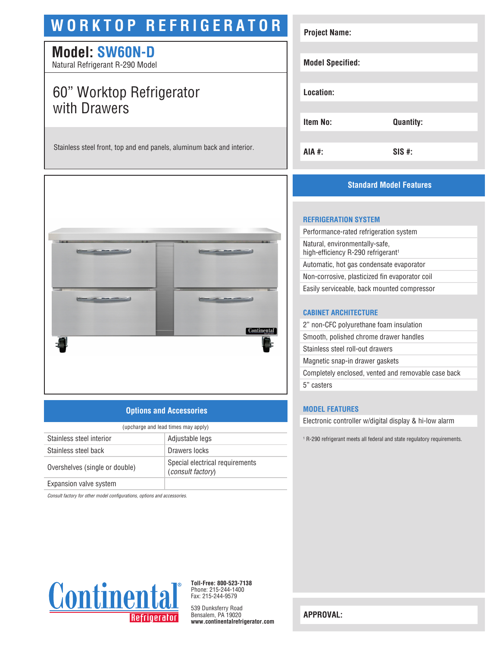# **WORKTOP REFRIGERATOR**

## **Model: SW60N-D**

Natural Refrigerant R-290 Model

## 60" Worktop Refrigerator with Drawers

Stainless steel front, top and end panels, aluminum back and interior.



## **Options and Accessories**

| (upcharge and lead times may apply) |                                                             |  |
|-------------------------------------|-------------------------------------------------------------|--|
| Stainless steel interior            | Adjustable legs                                             |  |
| Stainless steel back                | Drawers locks                                               |  |
| Overshelves (single or double)      | Special electrical requirements<br><i>(consult factory)</i> |  |
| Expansion valve system              |                                                             |  |

*Consult factory for other model configurations, options and accessories.*



**Project Name:**

## **REFRIGERATION SYSTEM**

| Performance-rated refrigeration system                                           |  |
|----------------------------------------------------------------------------------|--|
| Natural, environmentally-safe,<br>high-efficiency R-290 refrigerant <sup>1</sup> |  |
| Automatic, hot gas condensate evaporator                                         |  |
| Non-corrosive, plasticized fin evaporator coil                                   |  |
| Easily serviceable, back mounted compressor                                      |  |
|                                                                                  |  |

### **CABINET ARCHITECTURE**

| 2" non-CFC polyurethane foam insulation             |
|-----------------------------------------------------|
| Smooth, polished chrome drawer handles              |
| Stainless steel roll-out drawers                    |
| Magnetic snap-in drawer gaskets                     |
| Completely enclosed, vented and removable case back |
| 5" casters                                          |

## **MODEL FEATURES**

Electronic controller w/digital display & hi-low alarm

1 R-290 refrigerant meets all federal and state regulatory requirements.



**Toll-Free: 800-523-7138** Phone: 215-244-1400 Fax: 215-244-9579

539 Dunksferry Road Bensalem, PA 19020 **www.continentalrefrigerator.com** 

**APPROVAL:**